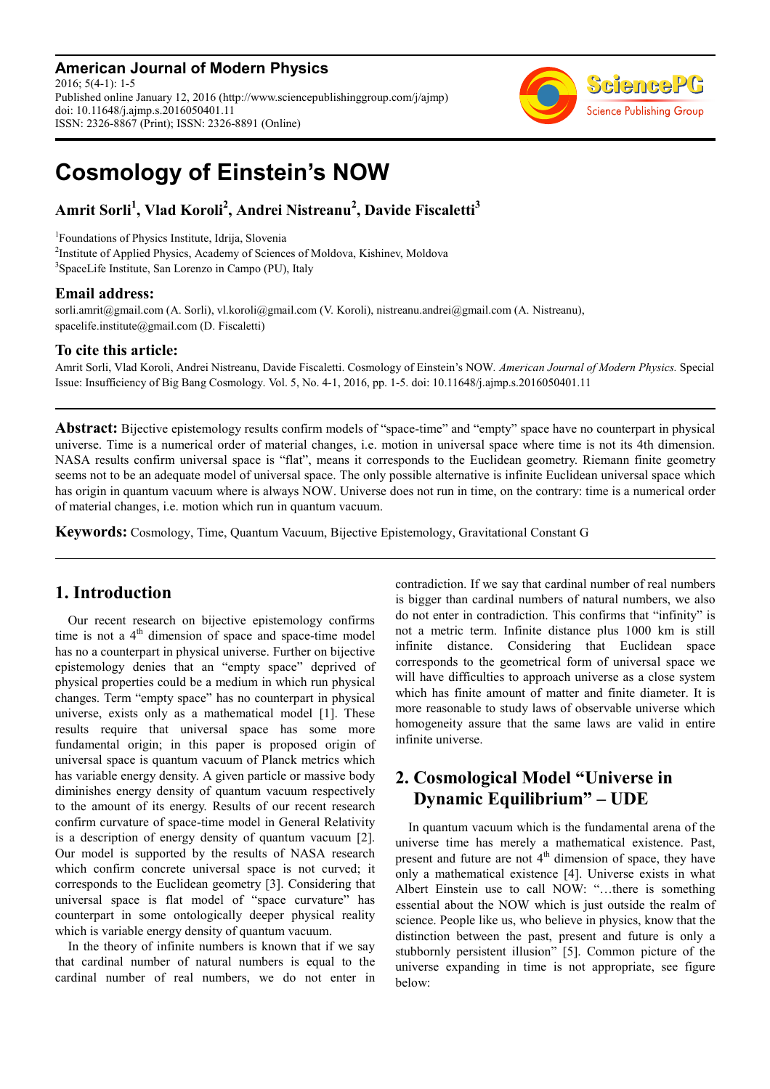**American Journal of Modern Physics** 2016; 5(4-1): 1-5 Published online January 12, 2016 (http://www.sciencepublishinggroup.com/j/ajmp) doi: 10.11648/j.ajmp.s.2016050401.11 ISSN: 2326-8867 (Print); ISSN: 2326-8891 (Online)



# **Cosmology of Einstein's NOW**

# **Amrit Sorli<sup>1</sup> , Vlad Koroli<sup>2</sup> , Andrei Nistreanu<sup>2</sup> , Davide Fiscaletti<sup>3</sup>**

1 Foundations of Physics Institute, Idrija, Slovenia <sup>2</sup>Institute of Applied Physics, Academy of Sciences of Moldova, Kishinev, Moldova 3 SpaceLife Institute, San Lorenzo in Campo (PU), Italy

#### **Email address:**

sorli.amrit@gmail.com (A. Sorli), vl.koroli@gmail.com (V. Koroli), nistreanu.andrei@gmail.com (A. Nistreanu), spacelife.institute@gmail.com (D. Fiscaletti)

#### **To cite this article:**

Amrit Sorli, Vlad Koroli, Andrei Nistreanu, Davide Fiscaletti. Cosmology of Einstein's NOW*. American Journal of Modern Physics.* Special Issue: Insufficiency of Big Bang Cosmology. Vol. 5, No. 4-1, 2016, pp. 1-5. doi: 10.11648/j.ajmp.s.2016050401.11

**Abstract:** Bijective epistemology results confirm models of "space-time" and "empty" space have no counterpart in physical universe. Time is a numerical order of material changes, i.e. motion in universal space where time is not its 4th dimension. NASA results confirm universal space is "flat", means it corresponds to the Euclidean geometry. Riemann finite geometry seems not to be an adequate model of universal space. The only possible alternative is infinite Euclidean universal space which has origin in quantum vacuum where is always NOW. Universe does not run in time, on the contrary: time is a numerical order of material changes, i.e. motion which run in quantum vacuum.

**Keywords:** Cosmology, Time, Quantum Vacuum, Bijective Epistemology, Gravitational Constant G

## **1. Introduction**

Our recent research on bijective epistemology confirms time is not a  $4<sup>th</sup>$  dimension of space and space-time model has no a counterpart in physical universe. Further on bijective epistemology denies that an "empty space" deprived of physical properties could be a medium in which run physical changes. Term "empty space" has no counterpart in physical universe, exists only as a mathematical model [1]. These results require that universal space has some more fundamental origin; in this paper is proposed origin of universal space is quantum vacuum of Planck metrics which has variable energy density. A given particle or massive body diminishes energy density of quantum vacuum respectively to the amount of its energy. Results of our recent research confirm curvature of space-time model in General Relativity is a description of energy density of quantum vacuum [2]. Our model is supported by the results of NASA research which confirm concrete universal space is not curved; it corresponds to the Euclidean geometry [3]. Considering that universal space is flat model of "space curvature" has counterpart in some ontologically deeper physical reality which is variable energy density of quantum vacuum.

In the theory of infinite numbers is known that if we say that cardinal number of natural numbers is equal to the cardinal number of real numbers, we do not enter in contradiction. If we say that cardinal number of real numbers is bigger than cardinal numbers of natural numbers, we also do not enter in contradiction. This confirms that "infinity" is not a metric term. Infinite distance plus 1000 km is still infinite distance. Considering that Euclidean space corresponds to the geometrical form of universal space we will have difficulties to approach universe as a close system which has finite amount of matter and finite diameter. It is more reasonable to study laws of observable universe which homogeneity assure that the same laws are valid in entire infinite universe.

# **2. Cosmological Model "Universe in Dynamic Equilibrium" – UDE**

In quantum vacuum which is the fundamental arena of the universe time has merely a mathematical existence. Past, present and future are not  $4<sup>th</sup>$  dimension of space, they have only a mathematical existence [4]. Universe exists in what Albert Einstein use to call NOW: "…there is something essential about the NOW which is just outside the realm of science. People like us, who believe in physics, know that the distinction between the past, present and future is only a stubbornly persistent illusion" [5]. Common picture of the universe expanding in time is not appropriate, see figure below: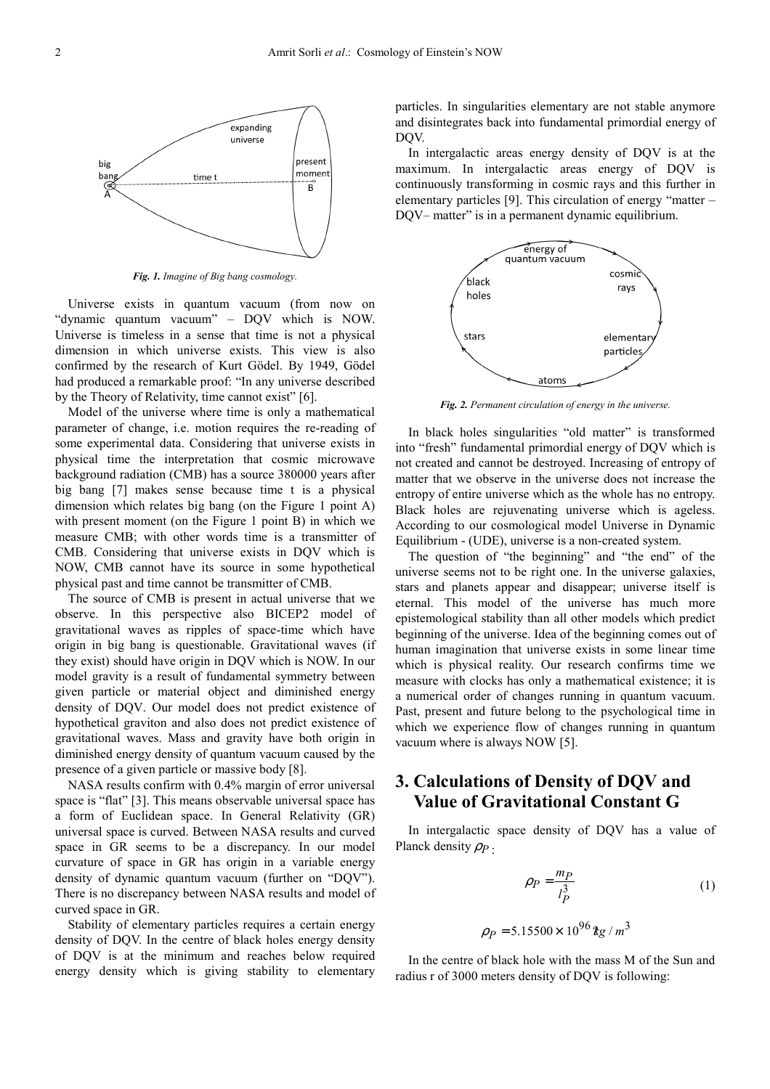

*Fig. 1. Imagine of Big bang cosmology.* 

Universe exists in quantum vacuum (from now on "dynamic quantum vacuum" – DQV which is NOW. Universe is timeless in a sense that time is not a physical dimension in which universe exists. This view is also confirmed by the research of Kurt Gödel. By 1949, Gödel had produced a remarkable proof: "In any universe described by the Theory of Relativity, time cannot exist" [6].

Model of the universe where time is only a mathematical parameter of change, i.e. motion requires the re-reading of some experimental data. Considering that universe exists in physical time the interpretation that cosmic microwave background radiation (CMB) has a source 380000 years after big bang [7] makes sense because time t is a physical dimension which relates big bang (on the Figure 1 point A) with present moment (on the Figure 1 point B) in which we measure CMB; with other words time is a transmitter of CMB. Considering that universe exists in DQV which is NOW, CMB cannot have its source in some hypothetical physical past and time cannot be transmitter of CMB.

The source of CMB is present in actual universe that we observe. In this perspective also BICEP2 model of gravitational waves as ripples of space-time which have origin in big bang is questionable. Gravitational waves (if they exist) should have origin in DQV which is NOW. In our model gravity is a result of fundamental symmetry between given particle or material object and diminished energy density of DQV. Our model does not predict existence of hypothetical graviton and also does not predict existence of gravitational waves. Mass and gravity have both origin in diminished energy density of quantum vacuum caused by the presence of a given particle or massive body [8].

NASA results confirm with 0.4% margin of error universal space is "flat" [3]. This means observable universal space has a form of Euclidean space. In General Relativity (GR) universal space is curved. Between NASA results and curved space in GR seems to be a discrepancy. In our model curvature of space in GR has origin in a variable energy density of dynamic quantum vacuum (further on "DQV"). There is no discrepancy between NASA results and model of curved space in GR.

Stability of elementary particles requires a certain energy density of DQV. In the centre of black holes energy density of DQV is at the minimum and reaches below required energy density which is giving stability to elementary particles. In singularities elementary are not stable anymore and disintegrates back into fundamental primordial energy of DQV.

In intergalactic areas energy density of DQV is at the maximum. In intergalactic areas energy of DQV is continuously transforming in cosmic rays and this further in elementary particles [9]. This circulation of energy "matter – DQV– matter" is in a permanent dynamic equilibrium.



*Fig. 2. Permanent circulation of energy in the universe.* 

In black holes singularities "old matter" is transformed into "fresh" fundamental primordial energy of DQV which is not created and cannot be destroyed. Increasing of entropy of matter that we observe in the universe does not increase the entropy of entire universe which as the whole has no entropy. Black holes are rejuvenating universe which is ageless. According to our cosmological model Universe in Dynamic Equilibrium - (UDE), universe is a non-created system.

The question of "the beginning" and "the end" of the universe seems not to be right one. In the universe galaxies, stars and planets appear and disappear; universe itself is eternal. This model of the universe has much more epistemological stability than all other models which predict beginning of the universe. Idea of the beginning comes out of human imagination that universe exists in some linear time which is physical reality. Our research confirms time we measure with clocks has only a mathematical existence; it is a numerical order of changes running in quantum vacuum. Past, present and future belong to the psychological time in which we experience flow of changes running in quantum vacuum where is always NOW [5].

### **3. Calculations of Density of DQV and Value of Gravitational Constant G**

In intergalactic space density of DQV has a value of Planck density  $ρ<sub>P</sub>$ .

$$
\rho_P = \frac{mp}{l_P^3} \tag{1}
$$

$$
\rho_P = 5.15500 \times 10^{96} \,\text{kg} / \,\text{m}^3
$$

In the centre of black hole with the mass M of the Sun and radius r of 3000 meters density of DQV is following: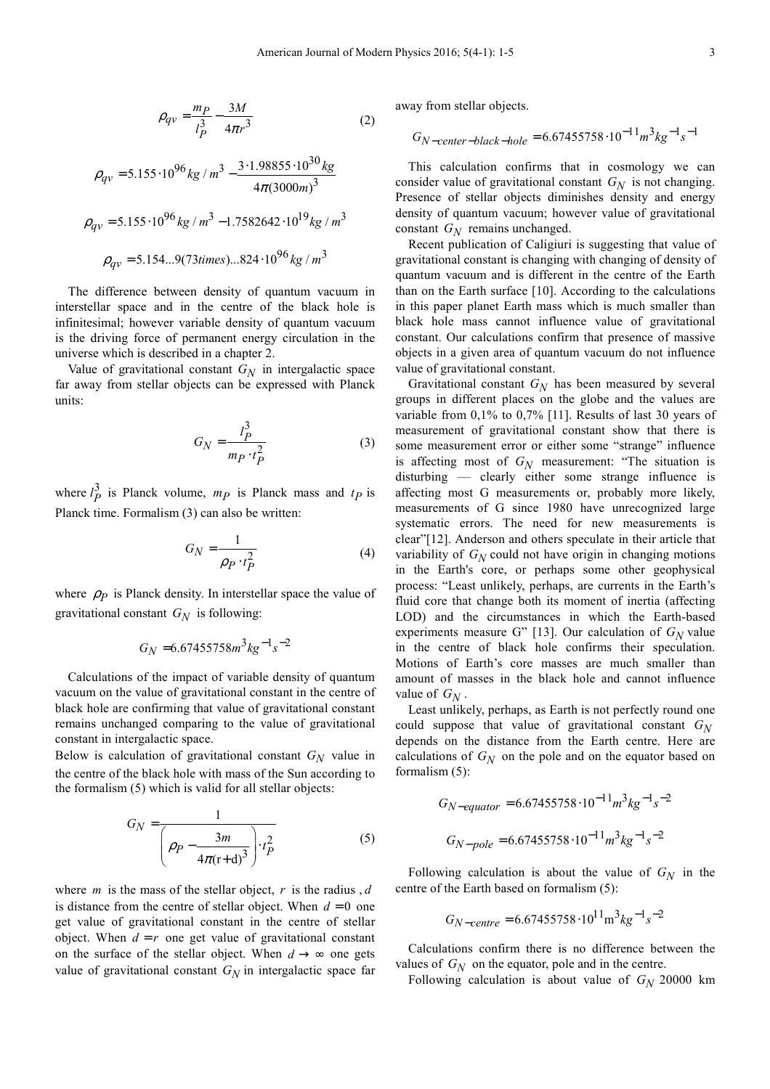$$
\rho_{qv} = \frac{m_P}{l_P^3} - \frac{3M}{4\pi r^3} \tag{2}
$$

$$
\rho_{qv} = 5.155 \cdot 10^{96} \, kg \, / \, m^3 - \frac{3 \cdot 1.98855 \cdot 10^{30} \, kg}{4 \pi (3000 m)^3}
$$
\n
$$
\rho_{qv} = 5.155 \cdot 10^{96} \, kg \, / \, m^3 - 1.7582642 \cdot 10^{19} \, kg \, / \, m^3
$$
\n
$$
\rho_{qv} = 5.154...9(73 \, times) \, . .824 \cdot 10^{96} \, kg \, / \, m^3
$$

The difference between density of quantum vacuum in interstellar space and in the centre of the black hole is infinitesimal; however variable density of quantum vacuum is the driving force of permanent energy circulation in the universe which is described in a chapter 2.

Value of gravitational constant *GN* in intergalactic space far away from stellar objects can be expressed with Planck units:

$$
G_N = \frac{l_P^3}{m_P \cdot t_P^2} \tag{3}
$$

where  $l_P^3$  is Planck volume,  $m_P$  is Planck mass and  $t_P$  is Planck time. Formalism (3) can also be written:

$$
G_N = \frac{1}{\rho_P \cdot t_P^2} \tag{4}
$$

where  $\rho_P$  is Planck density. In interstellar space the value of gravitational constant *GN* is following:

$$
G_N=6.67455758 m^3 kg^{-1}s^{-2}
$$

Calculations of the impact of variable density of quantum vacuum on the value of gravitational constant in the centre of black hole are confirming that value of gravitational constant remains unchanged comparing to the value of gravitational constant in intergalactic space.

Below is calculation of gravitational constant *GN* value in the centre of the black hole with mass of the Sun according to the formalism (5) which is valid for all stellar objects:

$$
G_N = \frac{1}{\left(\rho_P - \frac{3m}{4\pi(\mathbf{r} + \mathbf{d})^3}\right) \cdot t_P^2}
$$
 (5)

where *m* is the mass of the stellar object, *r* is the radius , *d* is distance from the centre of stellar object. When  $d = 0$  one get value of gravitational constant in the centre of stellar object. When  $d = r$  one get value of gravitational constant on the surface of the stellar object. When  $d \rightarrow \infty$  one gets value of gravitational constant  $G_N$  in intergalactic space far away from stellar objects.

$$
G_{N-center-black-hole} = 6.67455758 \cdot 10^{-11} m^3 kg^{-1} s^{-1}
$$

This calculation confirms that in cosmology we can consider value of gravitational constant *GN* is not changing. Presence of stellar objects diminishes density and energy density of quantum vacuum; however value of gravitational constant *GN* remains unchanged.

Recent publication of Caligiuri is suggesting that value of gravitational constant is changing with changing of density of quantum vacuum and is different in the centre of the Earth than on the Earth surface [10]. According to the calculations in this paper planet Earth mass which is much smaller than black hole mass cannot influence value of gravitational constant. Our calculations confirm that presence of massive objects in a given area of quantum vacuum do not influence value of gravitational constant.

Gravitational constant *GN* has been measured by several groups in different places on the globe and the values are variable from 0,1% to 0,7% [11]. Results of last 30 years of measurement of gravitational constant show that there is some measurement error or either some "strange" influence is affecting most of *GN* measurement: "The situation is disturbing — clearly either some strange influence is affecting most G measurements or, probably more likely, measurements of G since 1980 have unrecognized large systematic errors. The need for new measurements is clear"[12]. Anderson and others speculate in their article that variability of  $G_N$  could not have origin in changing motions in the Earth's core, or perhaps some other geophysical process: "Least unlikely, perhaps, are currents in the Earth's fluid core that change both its moment of inertia (affecting LOD) and the circumstances in which the Earth-based experiments measure G" [13]. Our calculation of  $G_N$  value in the centre of black hole confirms their speculation. Motions of Earth's core masses are much smaller than amount of masses in the black hole and cannot influence value of  $G_N$ .

Least unlikely, perhaps, as Earth is not perfectly round one could suppose that value of gravitational constant *GN* depends on the distance from the Earth centre. Here are calculations of  $G_N$  on the pole and on the equator based on formalism (5):

$$
G_{N-equator} = 6.67455758 \cdot 10^{-11} m^3 kg^{-1} s^{-2}
$$

$$
G_{N-pole} = 6.67455758 \cdot 10^{-11} m^3 kg^{-1} s^{-2}
$$

Following calculation is about the value of  $G_N$  in the centre of the Earth based on formalism (5):

$$
G_{N-centre} = 6.67455758 \cdot 10^{11} \text{m}^3 \text{kg}^{-1} \text{s}^{-2}
$$

Calculations confirm there is no difference between the values of  $G_N$  on the equator, pole and in the centre.

Following calculation is about value of  $G_N$  20000 km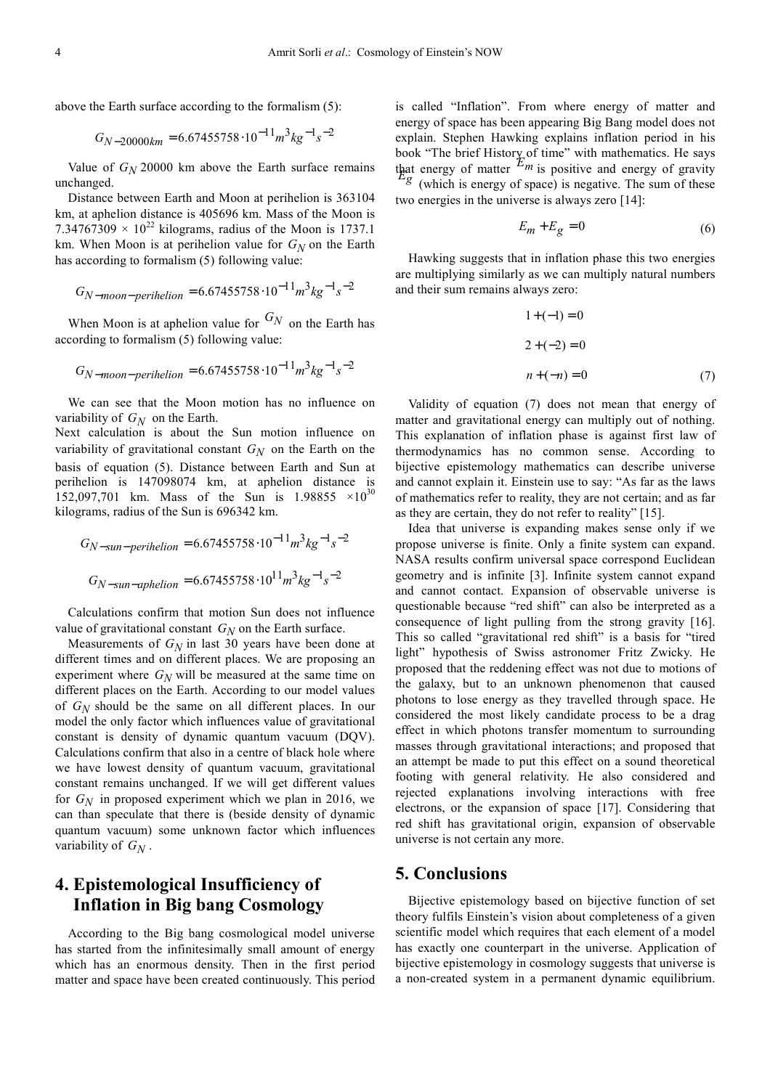above the Earth surface according to the formalism (5):

$$
G_{N-20000km} = 6.67455758 \cdot 10^{-11} m^3 kg^{-1} s^{-2}
$$

Value of  $G_N$  20000 km above the Earth surface remains unchanged.

Distance between Earth and Moon at perihelion is 363104 km, at aphelion distance is 405696 km. Mass of the Moon is 7.34767309  $\times$  10<sup>22</sup> kilograms, radius of the Moon is 1737.1 km. When Moon is at perihelion value for *GN* on the Earth has according to formalism (5) following value:

$$
G_{N-moon-perihelion} = 6.67455758 \cdot 10^{-11} m^3 kg^{-1} s^{-2}
$$

When Moon is at aphelion value for  $G_N$  on the Earth has according to formalism (5) following value:

$$
G_{N-moon-perihelion} = 6.67455758 \cdot 10^{-11} m^3 kg^{-1} s^{-2}
$$

We can see that the Moon motion has no influence on variability of  $G_N$  on the Earth.

Next calculation is about the Sun motion influence on variability of gravitational constant  $G_N$  on the Earth on the basis of equation (5). Distance between Earth and Sun at perihelion is 147098074 km, at aphelion distance is 152,097,701 km. Mass of the Sun is 1.98855  $\times 10^{30}$ kilograms, radius of the Sun is 696342 km.

$$
G_{N-sun-perihelion} = 6.67455758 \cdot 10^{-11} m^3 kg^{-1} s^{-2}
$$
  

$$
G_{N-sun-aphelion} = 6.67455758 \cdot 10^{11} m^3 kg^{-1} s^{-2}
$$

Calculations confirm that motion Sun does not influence value of gravitational constant *GN* on the Earth surface.

Measurements of  $G_N$  in last 30 years have been done at different times and on different places. We are proposing an experiment where *GN* will be measured at the same time on different places on the Earth. According to our model values of *GN* should be the same on all different places. In our model the only factor which influences value of gravitational constant is density of dynamic quantum vacuum (DQV). Calculations confirm that also in a centre of black hole where we have lowest density of quantum vacuum, gravitational constant remains unchanged. If we will get different values for  $G_N$  in proposed experiment which we plan in 2016, we can than speculate that there is (beside density of dynamic quantum vacuum) some unknown factor which influences variability of *GN* .

## **4. Epistemological Insufficiency of Inflation in Big bang Cosmology**

According to the Big bang cosmological model universe has started from the infinitesimally small amount of energy which has an enormous density. Then in the first period matter and space have been created continuously. This period is called "Inflation". From where energy of matter and energy of space has been appearing Big Bang model does not explain. Stephen Hawking explains inflation period in his book "The brief History of time" with mathematics. He says that energy of matter  $E_m$  is positive and energy of gravity  $E_g$  (which is energy of space) is negative. The sum of these two energies in the universe is always zero [14]:

$$
E_m + E_g = 0\tag{6}
$$

Hawking suggests that in inflation phase this two energies are multiplying similarly as we can multiply natural numbers and their sum remains always zero:

$$
1 + (-1) = 0
$$
  
2 + (-2) = 0  

$$
n + (-n) = 0
$$
 (7)

Validity of equation (7) does not mean that energy of matter and gravitational energy can multiply out of nothing. This explanation of inflation phase is against first law of thermodynamics has no common sense. According to bijective epistemology mathematics can describe universe and cannot explain it. Einstein use to say: "As far as the laws of mathematics refer to reality, they are not certain; and as far as they are certain, they do not refer to reality" [15].

Idea that universe is expanding makes sense only if we propose universe is finite. Only a finite system can expand. NASA results confirm universal space correspond Euclidean geometry and is infinite [3]. Infinite system cannot expand and cannot contact. Expansion of observable universe is questionable because "red shift" can also be interpreted as a consequence of light pulling from the strong gravity [16]. This so called "gravitational red shift" is a basis for "tired light" hypothesis of Swiss astronomer Fritz Zwicky. He proposed that the reddening effect was not due to motions of the galaxy, but to an unknown phenomenon that caused photons to lose energy as they travelled through space. He considered the most likely candidate process to be a drag effect in which photons transfer momentum to surrounding masses through gravitational interactions; and proposed that an attempt be made to put this effect on a sound theoretical footing with general relativity. He also considered and rejected explanations involving interactions with free electrons, or the expansion of space [17]. Considering that red shift has gravitational origin, expansion of observable universe is not certain any more.

#### **5. Conclusions**

Bijective epistemology based on bijective function of set theory fulfils Einstein's vision about completeness of a given scientific model which requires that each element of a model has exactly one counterpart in the universe. Application of bijective epistemology in cosmology suggests that universe is a non-created system in a permanent dynamic equilibrium.